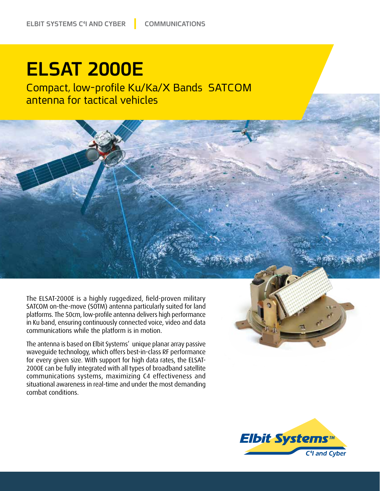## **ELSAT 2000E**

Compact, low-profile Ku/Ka/X Bands SATCOM antenna for tactical vehicles

The ELSAT-2000E is a highly ruggedized, field-proven military SATCOM on-the-move (SOTM) antenna particularly suited for land platforms. The 50cm, low-profile antenna delivers high performance in Ku band, ensuring continuously connected voice, video and data communications while the platform is in motion.

The antenna is based on Elbit Systems' unique planar array passive waveguide technology, which offers best-in-class RF performance for every given size. With support for high data rates, the ELSAT-<br>2000E can be fully integrated with all types of broadband satellite communications systems, maximizing C4 effectiveness and situational awareness in real-time and under the most demanding combat conditions.